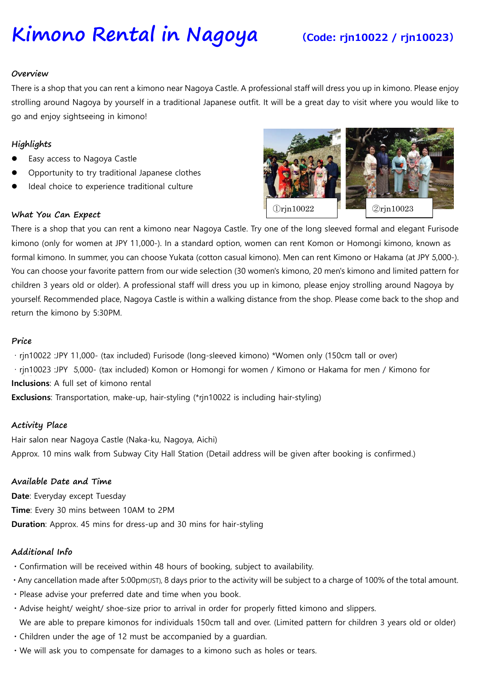# **Kimono Rental in Nagoya (Code: rjn10022 / rjn10023)**

#### **Overview**

There is a shop that you can rent a kimono near Nagoya Castle. A professional staff will dress you up in kimono. Please enjoy strolling around Nagoya by yourself in a traditional Japanese outfit. It will be a great day to visit where you would like to go and enjoy sightseeing in kimono!

# **Highlights**

- Easy access to Nagoya Castle
- Opportunity to try traditional Japanese clothes
- Ideal choice to experience traditional culture

# **What You Can Expect**



There is a shop that you can rent a kimono near Nagoya Castle. Try one of the long sleeved formal and elegant Furisode kimono (only for women at JPY 11,000-). In a standard option, women can rent Komon or Homongi kimono, known as formal kimono. In summer, you can choose Yukata (cotton casual kimono). Men can rent Kimono or Hakama (at JPY 5,000-). You can choose your favorite pattern from our wide selection (30 women's kimono, 20 men's kimono and limited pattern for children 3 years old or older). A professional staff will dress you up in kimono, please enjoy strolling around Nagoya by yourself. Recommended place, Nagoya Castle is within a walking distance from the shop. Please come back to the shop and return the kimono by 5:30PM.

#### **Price**

· rjn10022 :JPY 11,000- (tax included) Furisode (long-sleeved kimono) \*Women only (150cm tall or over) · rjn10023 :JPY 5,000- (tax included) Komon or Homongi for women / Kimono or Hakama for men / Kimono for **Inclusions**: A full set of kimono rental

**Exclusions**: Transportation, make-up, hair-styling (\*rjn10022 is including hair-styling)

# **Activity Place**

Hair salon near Nagoya Castle (Naka-ku, Nagoya, Aichi) Approx. 10 mins walk from Subway City Hall Station (Detail address will be given after booking is confirmed.)

# **Available Date and Time**

**Date**: Everyday except Tuesday **Time**: Every 30 mins between 10AM to 2PM **Duration**: Approx. 45 mins for dress-up and 30 mins for hair-styling

# **Additional Info**

- ・Confirmation will be received within 48 hours of booking, subject to availability.
- ・Any cancellation made after 5:00pm(JST), 8 days prior to the activity will be subject to a charge of 100% of the total amount.
- ・Please advise your preferred date and time when you book.
- ・Advise height/ weight/ shoe-size prior to arrival in order for properly fitted kimono and slippers. We are able to prepare kimonos for individuals 150cm tall and over. (Limited pattern for children 3 years old or older)
- ・Children under the age of 12 must be accompanied by a guardian.
- ・We will ask you to compensate for damages to a kimono such as holes or tears.